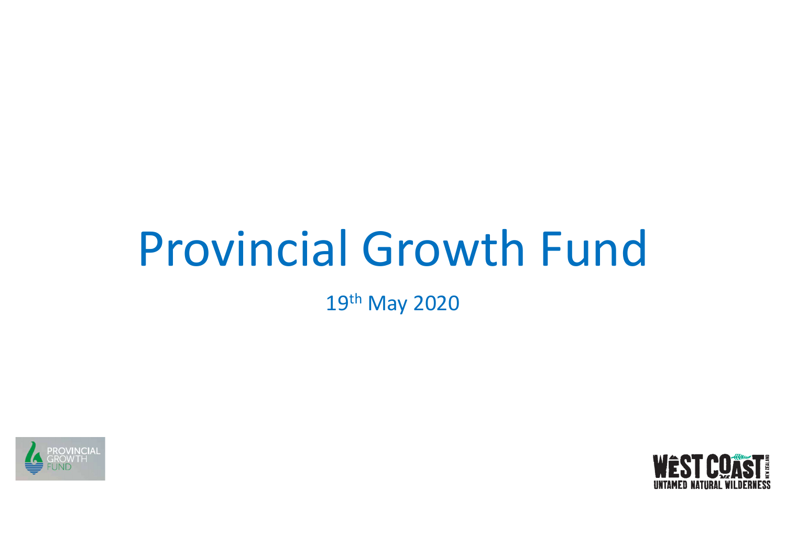## Provincial Growth Fund

19th May 2020



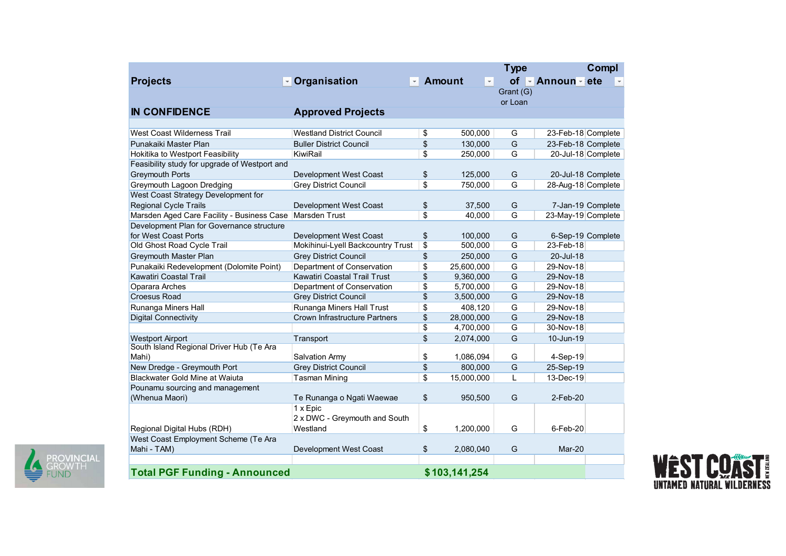| <b>Projects</b>                                                                                         |                                                            |                   | Amount<br>$\vert \cdot \vert$ | <b>Type</b><br>of    |                                                        | Compl |
|---------------------------------------------------------------------------------------------------------|------------------------------------------------------------|-------------------|-------------------------------|----------------------|--------------------------------------------------------|-------|
|                                                                                                         | <b>voluginary</b> Organisation                             | $\mathbf{v}$      |                               |                      | $\blacktriangleright$ Announ $\blacktriangleright$ ete |       |
|                                                                                                         |                                                            |                   |                               | Grant (G)<br>or Loan |                                                        |       |
| <b>IN CONFIDENCE</b>                                                                                    | <b>Approved Projects</b>                                   |                   |                               |                      |                                                        |       |
|                                                                                                         |                                                            |                   |                               |                      |                                                        |       |
| <b>West Coast Wilderness Trail</b>                                                                      | <b>Westland District Council</b>                           | \$                | 500,000                       | G                    | 23-Feb-18 Complete                                     |       |
| Punakaiki Master Plan                                                                                   | <b>Buller District Council</b><br>KiwiRail                 | \$<br>\$          | 130,000<br>250,000            | G<br>G               | 23-Feb-18 Complete                                     |       |
| Hokitika to Westport Feasibility<br>Feasibility study for upgrade of Westport and                       |                                                            |                   |                               |                      | 20-Jul-18 Complete                                     |       |
| <b>Greymouth Ports</b>                                                                                  | Development West Coast                                     | \$                | 125,000                       | G                    | 20-Jul-18 Complete                                     |       |
| Greymouth Lagoon Dredging                                                                               | <b>Grey District Council</b>                               | $\boldsymbol{\$}$ | 750,000                       | G                    | 28-Aug-18 Complete                                     |       |
| West Coast Strategy Development for                                                                     |                                                            |                   |                               |                      |                                                        |       |
| Regional Cycle Trails                                                                                   | Development West Coast                                     | \$                | 37,500                        | G                    | 7-Jan-19 Complete                                      |       |
| Marsden Aged Care Facility - Business Case   Marsden Trust<br>Development Plan for Governance structure |                                                            | \$                | 40,000                        | G                    | 23-May-19 Complete                                     |       |
| for West Coast Ports                                                                                    | Development West Coast                                     | \$                | 100,000                       | G                    | 6-Sep-19 Complete                                      |       |
| Old Ghost Road Cycle Trail                                                                              | Mokihinui-Lyell Backcountry Trust                          | \$                | 500,000                       | G                    | 23-Feb-18                                              |       |
| <b>Greymouth Master Plan</b>                                                                            | <b>Grey District Council</b>                               | \$                | 250,000                       | G                    | 20-Jul-18                                              |       |
| Punakaiki Redevelopment (Dolomite Point)                                                                | Department of Conservation                                 | \$                | 25,600,000                    | G                    | 29-Nov-18                                              |       |
| Kawatiri Coastal Trail<br>Oparara Arches                                                                | Kawatiri Coastal Trail Trust<br>Department of Conservation | \$<br>\$          | 9,360,000<br>5,700,000        | G<br>G               | 29-Nov-18<br>29-Nov-18                                 |       |
| <b>Croesus Road</b>                                                                                     | <b>Grey District Council</b>                               | \$                | 3,500,000                     | G                    | 29-Nov-18                                              |       |
| Runanga Miners Hall                                                                                     | Runanga Miners Hall Trust                                  | \$                | 408,120                       | G                    | 29-Nov-18                                              |       |
| <b>Digital Connectivity</b>                                                                             | Crown Infrastructure Partners                              | \$                | 28,000,000                    | G                    | 29-Nov-18                                              |       |
|                                                                                                         |                                                            | \$                | 4,700,000                     | G                    | 30-Nov-18                                              |       |
| <b>Westport Airport</b><br>South Island Regional Driver Hub (Te Ara                                     | Transport                                                  | \$                | 2,074,000                     | G                    | 10-Jun-19                                              |       |
| Mahi)                                                                                                   | Salvation Army                                             | \$                | 1,086,094                     | G                    | 4-Sep-19                                               |       |
| New Dredge - Greymouth Port                                                                             | <b>Grey District Council</b>                               | \$                | 800,000                       | G                    | 25-Sep-19                                              |       |
| Blackwater Gold Mine at Waiuta                                                                          | <b>Tasman Mining</b>                                       | \$                | 15,000,000                    |                      | 13-Dec-19                                              |       |
| Pounamu sourcing and management<br>(Whenua Maori)                                                       | Te Runanga o Ngati Waewae                                  | $\frac{1}{2}$     | 950,500                       | G                    | 2-Feb-20                                               |       |
|                                                                                                         | 1 x Epic                                                   |                   |                               |                      |                                                        |       |
|                                                                                                         | 2 x DWC - Greymouth and South                              |                   |                               |                      |                                                        |       |
| Regional Digital Hubs (RDH)                                                                             | Westland                                                   | \$                | 1,200,000                     | G                    | 6-Feb-20                                               |       |
| West Coast Employment Scheme (Te Ara<br>Mahi - TAM)                                                     | Development West Coast                                     |                   | 2,080,040                     |                      | Mar-20                                                 |       |
|                                                                                                         |                                                            | \$                |                               | G                    |                                                        |       |
|                                                                                                         | <b>Total PGF Funding - Announced</b>                       | \$103,141,254     |                               |                      |                                                        |       |



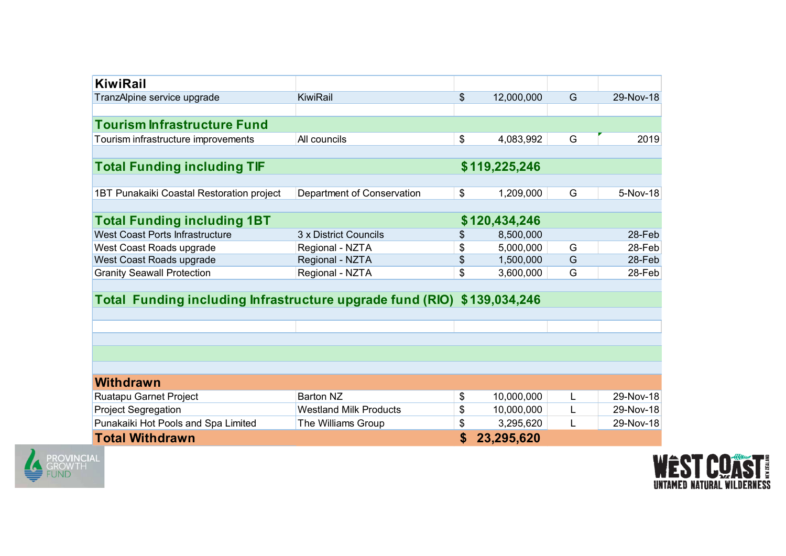| <b>KiwiRail</b>                                                         |                                    |               |                        |        |                  |
|-------------------------------------------------------------------------|------------------------------------|---------------|------------------------|--------|------------------|
| TranzAlpine service upgrade                                             | KiwiRail                           | $\frac{1}{2}$ | 12,000,000             | G      | 29-Nov-18        |
|                                                                         |                                    |               |                        |        |                  |
| <b>Tourism Infrastructure Fund</b>                                      |                                    |               |                        |        |                  |
| Tourism infrastructure improvements                                     | All councils                       | $\frac{1}{2}$ | 4,083,992              | G      | 2019             |
| <b>Total Funding including TIF</b>                                      |                                    |               | \$119,225,246          |        |                  |
|                                                                         |                                    |               |                        |        |                  |
| 1BT Punakaiki Coastal Restoration project                               | Department of Conservation         | $\sqrt[6]{2}$ | 1,209,000              | G      | 5-Nov-18         |
|                                                                         |                                    |               |                        |        |                  |
| <b>Total Funding including 1BT</b>                                      |                                    |               | \$120,434,246          |        |                  |
| West Coast Ports Infrastructure                                         | 3 x District Councils              | \$            | 8,500,000              |        | 28-Feb           |
| West Coast Roads upgrade                                                | Regional - NZTA                    | \$<br>\$      | 5,000,000<br>1,500,000 | G<br>G | 28-Feb<br>28-Feb |
| West Coast Roads upgrade<br><b>Granity Seawall Protection</b>           | Regional - NZTA<br>Regional - NZTA | $\frac{1}{2}$ | 3,600,000              | G      | 28-Feb           |
|                                                                         |                                    |               |                        |        |                  |
| Total Funding including Infrastructure upgrade fund (RIO) \$139,034,246 |                                    |               |                        |        |                  |
|                                                                         |                                    |               |                        |        |                  |
|                                                                         |                                    |               |                        |        |                  |
|                                                                         |                                    |               |                        |        |                  |
|                                                                         |                                    |               |                        |        |                  |
|                                                                         |                                    |               |                        |        |                  |
| <b>Withdrawn</b>                                                        | <b>Barton NZ</b>                   | \$            | 10,000,000             | L.     | 29-Nov-18        |
|                                                                         |                                    |               |                        |        |                  |
| Ruatapu Garnet Project                                                  | <b>Westland Milk Products</b>      | $\frac{1}{2}$ | 10,000,000             | L      | 29-Nov-18        |
| <b>Project Segregation</b><br>Punakaiki Hot Pools and Spa Limited       | The Williams Group                 | \$            | 3,295,620              | L      | 29-Nov-18        |



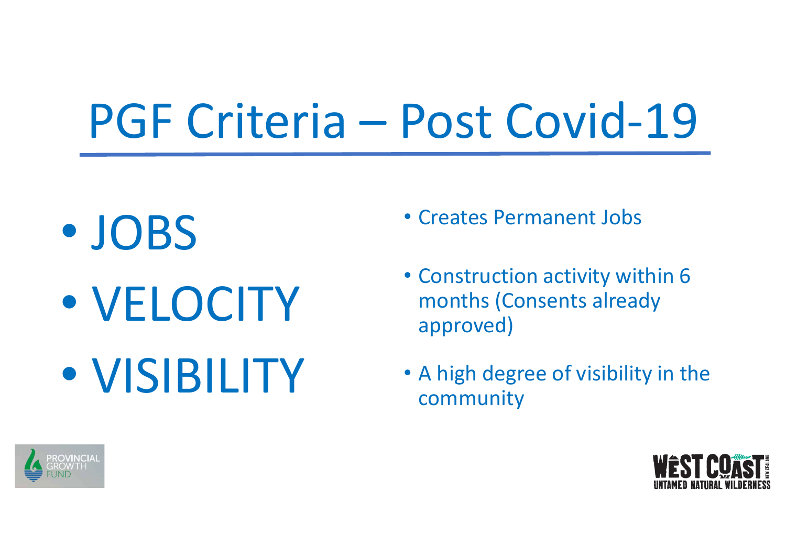## PGF Criteria – Post Covid-19

• JOBS • VELOCITY • VISIBILITY

- Creates Permanent Jobs
- Construction activity within 6 months (Consents already approved)
- A high degree of visibility in the community